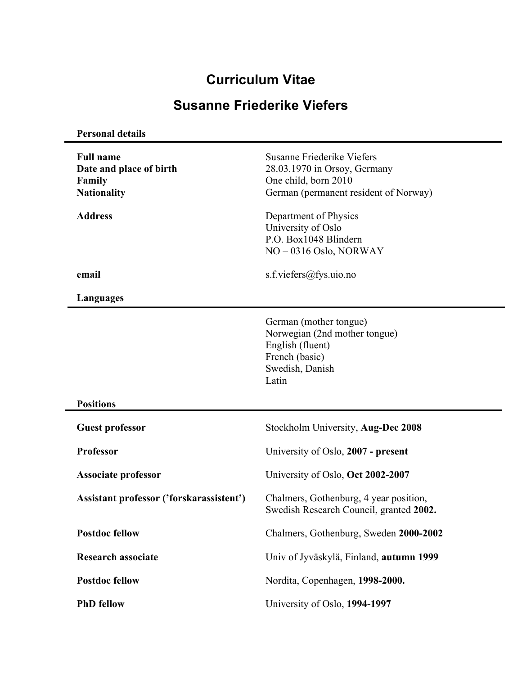# **Curriculum Vitae**

## **Susanne Friederike Viefers**

**Personal details**

| <b>Full name</b><br>Date and place of birth<br>Family<br><b>Nationality</b> | Susanne Friederike Viefers<br>28.03.1970 in Orsoy, Germany<br>One child, born 2010<br>German (permanent resident of Norway) |
|-----------------------------------------------------------------------------|-----------------------------------------------------------------------------------------------------------------------------|
| <b>Address</b>                                                              | Department of Physics<br>University of Oslo<br>P.O. Box1048 Blindern<br>NO-0316 Oslo, NORWAY                                |
| email                                                                       | s.f.viefers@fys.uio.no                                                                                                      |
| Languages                                                                   |                                                                                                                             |
|                                                                             | German (mother tongue)<br>Norwegian (2nd mother tongue)<br>English (fluent)<br>French (basic)<br>Swedish, Danish<br>Latin   |
| <b>Positions</b>                                                            |                                                                                                                             |
| <b>Guest professor</b>                                                      | Stockholm University, Aug-Dec 2008                                                                                          |
| <b>Professor</b>                                                            | University of Oslo, 2007 - present                                                                                          |
| <b>Associate professor</b>                                                  | University of Oslo, Oct 2002-2007                                                                                           |
| Assistant professor ('forskarassistent')                                    | Chalmers, Gothenburg, 4 year position,<br>Swedish Research Council, granted 2002.                                           |
| <b>Postdoc fellow</b>                                                       | Chalmers, Gothenburg, Sweden 2000-2002                                                                                      |
| Research associate                                                          | Univ of Jyväskylä, Finland, autumn 1999                                                                                     |
| <b>Postdoc fellow</b>                                                       | Nordita, Copenhagen, 1998-2000.                                                                                             |
| <b>PhD</b> fellow                                                           | University of Oslo, 1994-1997                                                                                               |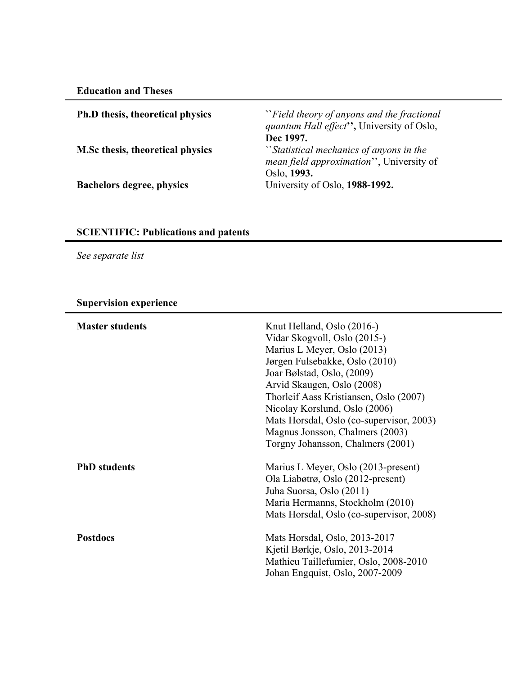**Education and Theses**

| <b>Ph.D</b> thesis, theoretical physics | "Field theory of anyons and the fractional"<br>quantum Hall effect", University of Oslo,<br>Dec 1997. |
|-----------------------------------------|-------------------------------------------------------------------------------------------------------|
| <b>M.Sc thesis, theoretical physics</b> | "Statistical mechanics of anyons in the<br>mean field approximation", University of<br>Oslo, 1993.    |
| <b>Bachelors degree, physics</b>        | University of Oslo, 1988-1992.                                                                        |

### **SCIENTIFIC: Publications and patents**

*See separate list*

### **Supervision experience**

| <b>Master students</b> | Knut Helland, Oslo (2016-)<br>Vidar Skogvoll, Oslo (2015-)<br>Marius L Meyer, Oslo (2013)<br>Jørgen Fulsebakke, Oslo (2010)<br>Joar Bølstad, Oslo, (2009)<br>Arvid Skaugen, Oslo (2008)<br>Thorleif Aass Kristiansen, Oslo (2007)<br>Nicolay Korslund, Oslo (2006)<br>Mats Horsdal, Oslo (co-supervisor, 2003)<br>Magnus Jonsson, Chalmers (2003)<br>Torgny Johansson, Chalmers (2001) |
|------------------------|----------------------------------------------------------------------------------------------------------------------------------------------------------------------------------------------------------------------------------------------------------------------------------------------------------------------------------------------------------------------------------------|
| <b>PhD</b> students    | Marius L Meyer, Oslo (2013-present)<br>Ola Liabøtrø, Oslo (2012-present)<br>Juha Suorsa, Oslo (2011)<br>Maria Hermanns, Stockholm (2010)<br>Mats Horsdal, Oslo (co-supervisor, 2008)                                                                                                                                                                                                   |
| <b>Postdocs</b>        | Mats Horsdal, Oslo, 2013-2017<br>Kjetil Børkje, Oslo, 2013-2014<br>Mathieu Taillefumier, Oslo, 2008-2010<br>Johan Engquist, Oslo, 2007-2009                                                                                                                                                                                                                                            |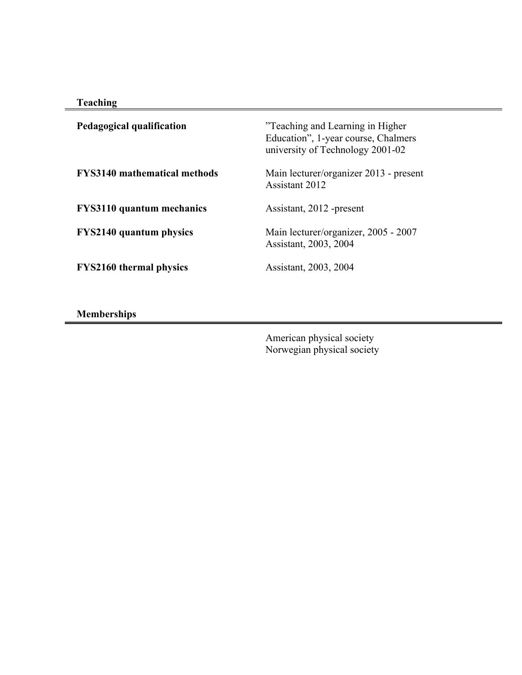| ıcnın! |  |
|--------|--|

| Pedagogical qualification           | "Teaching and Learning in Higher"<br>Education", 1-year course, Chalmers<br>university of Technology 2001-02 |
|-------------------------------------|--------------------------------------------------------------------------------------------------------------|
| <b>FYS3140</b> mathematical methods | Main lecturer/organizer 2013 - present<br>Assistant 2012                                                     |
| <b>FYS3110</b> quantum mechanics    | Assistant, 2012 -present                                                                                     |
| <b>FYS2140 quantum physics</b>      | Main lecturer/organizer, 2005 - 2007<br>Assistant, 2003, 2004                                                |
| <b>FYS2160 thermal physics</b>      | Assistant, 2003, 2004                                                                                        |

**Memberships**

American physical society Norwegian physical society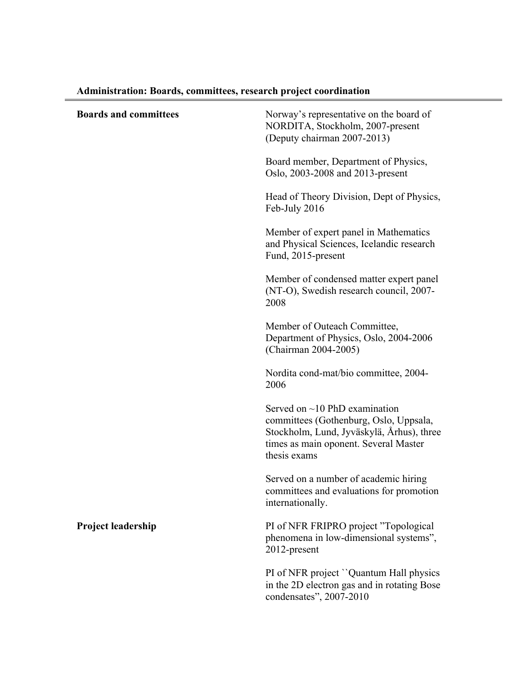| <b>Boards and committees</b> | Norway's representative on the board of<br>NORDITA, Stockholm, 2007-present<br>(Deputy chairman 2007-2013)                                                                          |
|------------------------------|-------------------------------------------------------------------------------------------------------------------------------------------------------------------------------------|
|                              | Board member, Department of Physics,<br>Oslo, 2003-2008 and 2013-present                                                                                                            |
|                              | Head of Theory Division, Dept of Physics,<br>Feb-July 2016                                                                                                                          |
|                              | Member of expert panel in Mathematics<br>and Physical Sciences, Icelandic research<br>Fund, 2015-present                                                                            |
|                              | Member of condensed matter expert panel<br>(NT-O), Swedish research council, 2007-<br>2008                                                                                          |
|                              | Member of Outeach Committee,<br>Department of Physics, Oslo, 2004-2006<br>(Chairman 2004-2005)                                                                                      |
|                              | Nordita cond-mat/bio committee, 2004-<br>2006                                                                                                                                       |
|                              | Served on $\sim$ 10 PhD examination<br>committees (Gothenburg, Oslo, Uppsala,<br>Stockholm, Lund, Jyväskylä, Århus), three<br>times as main oponent. Several Master<br>thesis exams |
|                              | Served on a number of academic hiring<br>committees and evaluations for promotion<br>internationally.                                                                               |
| Project leadership           | PI of NFR FRIPRO project "Topological<br>phenomena in low-dimensional systems",<br>2012-present                                                                                     |
|                              | PI of NFR project "Quantum Hall physics<br>in the 2D electron gas and in rotating Bose<br>condensates", 2007-2010                                                                   |

## **Administration: Boards, committees, research project coordination**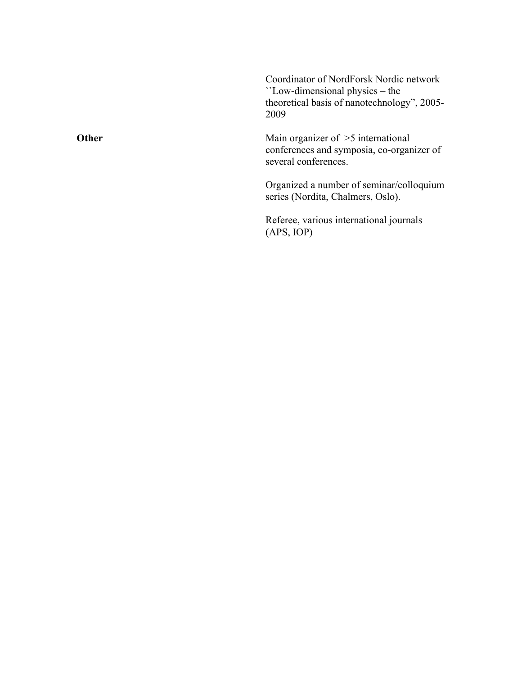Coordinator of NordForsk Nordic network ``Low -dimensional physics – the theoretical basis of nanotechnology", 2005 - 2009

Main organizer of >5 international conferences and symposia , co -organizer of several conferences.

Organized a number of seminar/colloquium series (Nordita, Chalmers, Oslo).

Referee, various international journals (APS, IOP)

**Other**